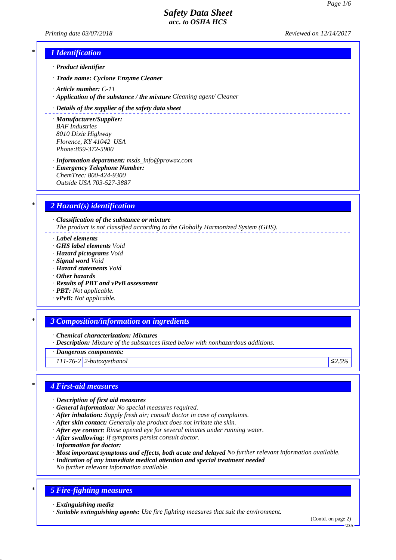*Printing date 03/07/2018 Reviewed on 12/14/2017*

\_\_\_\_\_\_\_\_\_\_\_\_\_\_\_\_\_\_\_\_\_\_\_

## *\* 1 Identification*

- *· Product identifier*
- *· Trade name: Cyclone Enzyme Cleaner*
- *· Article number: C-11*
- *· Application of the substance / the mixture Cleaning agent/ Cleaner*

#### *· Details of the supplier of the safety data sheet*

- *· Manufacturer/Supplier: BAF Industries 8010 Dixie Highway Florence, KY 41042 USA Phone:859-372-5900*
- *· Information department: msds\_info@prowax.com · Emergency Telephone Number: ChemTrec: 800-424-9300 Outside USA 703-527-3887*

## *\* 2 Hazard(s) identification*

*· Classification of the substance or mixture The product is not classified according to the Globally Harmonized System (GHS).*

- *· Label elements*
- *· GHS label elements Void*
- *· Hazard pictograms Void*
- *· Signal word Void*
- *· Hazard statements Void*
- *· Other hazards*
- *· Results of PBT and vPvB assessment*
- *· PBT: Not applicable.*
- *· vPvB: Not applicable.*

### *\* 3 Composition/information on ingredients*

*· Chemical characterization: Mixtures*

*· Description: Mixture of the substances listed below with nonhazardous additions.*

*· Dangerous components:*

*111-76-2 2-butoxyethanol ≤2.5%*

### *\* 4 First-aid measures*

- *· Description of first aid measures*
- *· General information: No special measures required.*
- *· After inhalation: Supply fresh air; consult doctor in case of complaints.*
- *· After skin contact: Generally the product does not irritate the skin.*
- *· After eye contact: Rinse opened eye for several minutes under running water.*
- *· After swallowing: If symptoms persist consult doctor.*
- *· Information for doctor:*
- *· Most important symptoms and effects, both acute and delayed No further relevant information available.*
- *· Indication of any immediate medical attention and special treatment needed*
- *No further relevant information available.*

## *\* 5 Fire-fighting measures*

*· Extinguishing media*

*· Suitable extinguishing agents: Use fire fighting measures that suit the environment.*

(Contd. on page 2)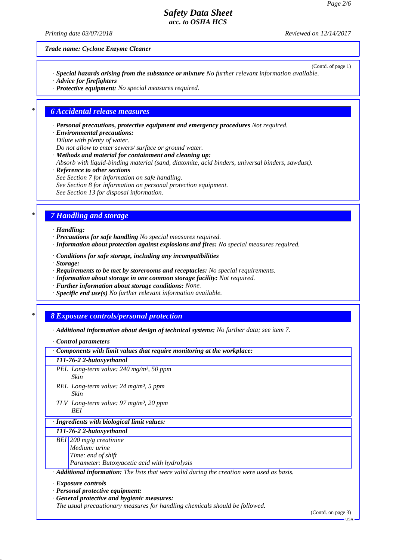*Printing date 03/07/2018 Reviewed on 12/14/2017*

(Contd. of page 1)

*Trade name: Cyclone Enzyme Cleaner*

- *· Special hazards arising from the substance or mixture No further relevant information available. · Advice for firefighters*
- *· Protective equipment: No special measures required.*

### *\* 6 Accidental release measures*

*· Personal precautions, protective equipment and emergency procedures Not required.*

- *· Environmental precautions:*
- *Dilute with plenty of water.*
- *Do not allow to enter sewers/ surface or ground water.*
- *· Methods and material for containment and cleaning up: Absorb with liquid-binding material (sand, diatomite, acid binders, universal binders, sawdust).*
- *· Reference to other sections*
- *See Section 7 for information on safe handling.*
- *See Section 8 for information on personal protection equipment.*
- *See Section 13 for disposal information.*

## *\* 7 Handling and storage*

#### *· Handling:*

- *· Precautions for safe handling No special measures required.*
- *· Information about protection against explosions and fires: No special measures required.*
- *· Conditions for safe storage, including any incompatibilities*
- *· Storage:*
- *· Requirements to be met by storerooms and receptacles: No special requirements.*
- *· Information about storage in one common storage facility: Not required.*
- *· Further information about storage conditions: None.*
- *· Specific end use(s) No further relevant information available.*

### *\* 8 Exposure controls/personal protection*

*· Additional information about design of technical systems: No further data; see item 7.*

#### *· Control parameters*

| $\cdot$ Components with limit values that require monitoring at the workplace: |                                                                                                          |  |  |  |
|--------------------------------------------------------------------------------|----------------------------------------------------------------------------------------------------------|--|--|--|
|                                                                                | 111-76-2 2-butoxyethanol                                                                                 |  |  |  |
|                                                                                | PEL Long-term value: $240$ mg/m <sup>3</sup> , 50 ppm<br>Skin                                            |  |  |  |
|                                                                                | REL Long-term value: $24 \text{ mg/m}^3$ , 5 ppm<br>Skin                                                 |  |  |  |
|                                                                                | TLV Long-term value: 97 mg/m <sup>3</sup> , 20 ppm<br><b>BEI</b>                                         |  |  |  |
|                                                                                | · Ingredients with biological limit values:                                                              |  |  |  |
|                                                                                | 111-76-2 2-butoxyethanol                                                                                 |  |  |  |
|                                                                                | BEI 200 mg/g creatinine                                                                                  |  |  |  |
|                                                                                | Medium: urine                                                                                            |  |  |  |
|                                                                                | Time: end of shift                                                                                       |  |  |  |
|                                                                                | Parameter: Butoxyacetic acid with hydrolysis                                                             |  |  |  |
|                                                                                | $\cdot$ <b>Additional information:</b> The lists that were valid during the creation were used as basis. |  |  |  |
|                                                                                | $\cdot$ Exposure controls                                                                                |  |  |  |
|                                                                                | $\cdot$ Personal protective equipment:                                                                   |  |  |  |
|                                                                                | General protective and hygienic measures:                                                                |  |  |  |
|                                                                                | The usual precautionary measures for handling chemicals should be followed.                              |  |  |  |

(Contd. on page 3)

USA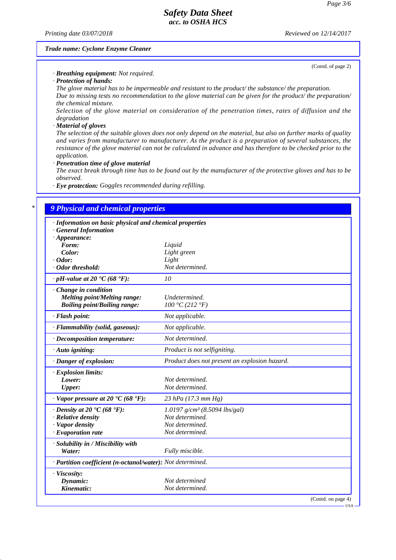*Printing date 03/07/2018 Reviewed on 12/14/2017*

(Contd. of page 2)

#### *Trade name: Cyclone Enzyme Cleaner*

*· Breathing equipment: Not required.*

*· Protection of hands:*

*The glove material has to be impermeable and resistant to the product/ the substance/ the preparation. Due to missing tests no recommendation to the glove material can be given for the product/ the preparation/ the chemical mixture.*

*Selection of the glove material on consideration of the penetration times, rates of diffusion and the degradation*

#### *· Material of gloves*

*The selection of the suitable gloves does not only depend on the material, but also on further marks of quality and varies from manufacturer to manufacturer. As the product is a preparation of several substances, the resistance of the glove material can not be calculated in advance and has therefore to be checked prior to the application.*

#### *· Penetration time of glove material*

*The exact break through time has to be found out by the manufacturer of the protective gloves and has to be observed.*

*· Eye protection: Goggles recommended during refilling.*

# *\* 9 Physical and chemical properties*

| · Information on basic physical and chemical properties<br><b>General Information</b> |                                               |  |  |  |  |
|---------------------------------------------------------------------------------------|-----------------------------------------------|--|--|--|--|
| $\cdot$ Appearance:                                                                   |                                               |  |  |  |  |
| Form:                                                                                 | Liquid                                        |  |  |  |  |
| Color:                                                                                | Light green                                   |  |  |  |  |
| $\cdot$ Odor:                                                                         | Light                                         |  |  |  |  |
| · Odor threshold:                                                                     | Not determined.                               |  |  |  |  |
| $\cdot$ pH-value at 20 $\cdot$ C (68 $\cdot$ F):                                      | 10                                            |  |  |  |  |
| Change in condition                                                                   |                                               |  |  |  |  |
| <b>Melting point/Melting range:</b>                                                   | Undetermined.                                 |  |  |  |  |
| <b>Boiling point/Boiling range:</b>                                                   | 100 °C (212 °F)                               |  |  |  |  |
| · Flash point:                                                                        | Not applicable.                               |  |  |  |  |
| · Flammability (solid, gaseous):                                                      | Not applicable.                               |  |  |  |  |
| $\cdot$ Decomposition temperature:                                                    | Not determined.                               |  |  |  |  |
| · Auto igniting:                                                                      | Product is not selfigniting.                  |  |  |  |  |
| · Danger of explosion:                                                                | Product does not present an explosion hazard. |  |  |  |  |
| $\cdot$ Explosion limits:                                                             |                                               |  |  |  |  |
| Lower:                                                                                | Not determined.                               |  |  |  |  |
| <b>Upper:</b>                                                                         | Not determined.                               |  |  |  |  |
| $\cdot$ Vapor pressure at 20 $\textdegree$ C (68 $\textdegree$ F):                    | 23 hPa (17.3 mm Hg)                           |  |  |  |  |
| $\cdot$ Density at 20 $\cdot$ C (68 $\cdot$ F):                                       | 1.0197 g/cm <sup>3</sup> (8.5094 lbs/gal)     |  |  |  |  |
| · Relative density                                                                    | Not determined.                               |  |  |  |  |
| · Vapor density                                                                       | Not determined.                               |  |  |  |  |
| $\cdot$ Evaporation rate                                                              | Not determined.                               |  |  |  |  |
| · Solubility in / Miscibility with                                                    |                                               |  |  |  |  |
| Water:                                                                                | Fully miscible.                               |  |  |  |  |
| · Partition coefficient (n-octanol/water): Not determined.                            |                                               |  |  |  |  |
| · Viscosity:                                                                          |                                               |  |  |  |  |
| Dynamic:                                                                              | Not determined                                |  |  |  |  |
| Kinematic:                                                                            | Not determined.                               |  |  |  |  |
|                                                                                       | (Contd. on page 4)                            |  |  |  |  |

USA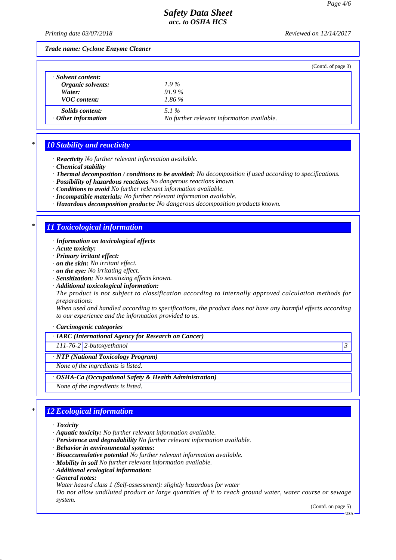*Printing date 03/07/2018 Reviewed on 12/14/2017*

*Trade name: Cyclone Enzyme Cleaner*

|                           | (Contd. of page 3)                         |
|---------------------------|--------------------------------------------|
| · Solvent content:        |                                            |
| Organic solvents:         | $1.9\%$                                    |
| Water:                    | $91.9\%$                                   |
| <b>VOC</b> content:       | $1.86\%$                                   |
| <i>Solids content:</i>    | 5.1%                                       |
| $\cdot$ Other information | No further relevant information available. |

## *\* 10 Stability and reactivity*

- *· Reactivity No further relevant information available.*
- *· Chemical stability*
- *· Thermal decomposition / conditions to be avoided: No decomposition if used according to specifications.*
- *· Possibility of hazardous reactions No dangerous reactions known.*
- *· Conditions to avoid No further relevant information available.*
- *· Incompatible materials: No further relevant information available.*
- *· Hazardous decomposition products: No dangerous decomposition products known.*

### *\* 11 Toxicological information*

- *· Information on toxicological effects*
- *· Acute toxicity:*
- *· Primary irritant effect:*
- *· on the skin: No irritant effect.*
- *· on the eye: No irritating effect.*
- *· Sensitization: No sensitizing effects known.*
- *· Additional toxicological information:*

*The product is not subject to classification according to internally approved calculation methods for preparations:*

*When used and handled according to specifications, the product does not have any harmful effects according to our experience and the information provided to us.*

*· Carcinogenic categories*

*· IARC (International Agency for Research on Cancer)*

*111-76-2 2-butoxyethanol 3* 

#### *· NTP (National Toxicology Program)*

*None of the ingredients is listed.*

*· OSHA-Ca (Occupational Safety & Health Administration)*

*None of the ingredients is listed.*

## *\* 12 Ecological information*

- *· Toxicity*
- *· Aquatic toxicity: No further relevant information available.*
- *· Persistence and degradability No further relevant information available.*
- *· Behavior in environmental systems:*
- *· Bioaccumulative potential No further relevant information available.*
- *· Mobility in soil No further relevant information available.*
- *· Additional ecological information:*
- *· General notes:*
- *Water hazard class 1 (Self-assessment): slightly hazardous for water*

*Do not allow undiluted product or large quantities of it to reach ground water, water course or sewage system.*

(Contd. on page 5)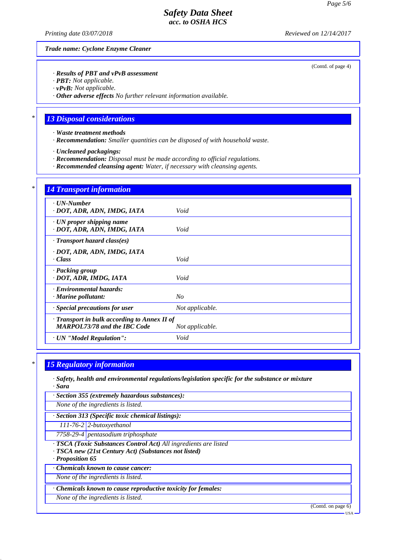*Printing date 03/07/2018 Reviewed on 12/14/2017*

*Trade name: Cyclone Enzyme Cleaner*

#### *· Results of PBT and vPvB assessment*

*· PBT: Not applicable.*

*· vPvB: Not applicable.*

*· Other adverse effects No further relevant information available.*

### *\* 13 Disposal considerations*

*· Waste treatment methods*

*· Recommendation: Smaller quantities can be disposed of with household waste.*

*· Uncleaned packagings:*

*· Recommendation: Disposal must be made according to official regulations.*

*· Recommended cleansing agent: Water, if necessary with cleansing agents.*

| $\cdot$ UN-Number                            |                 |
|----------------------------------------------|-----------------|
| · DOT, ADR, ADN, IMDG, IATA                  | Void            |
| $\cdot$ UN proper shipping name              |                 |
| · DOT, ADR, ADN, IMDG, IATA                  | Void            |
| $\cdot$ Transport hazard class(es)           |                 |
| · DOT, ADR, ADN, IMDG, IATA                  |                 |
| · Class                                      | Void            |
| · Packing group                              |                 |
| · DOT, ADR, IMDG, IATA                       | Void            |
| · Environmental hazards:                     |                 |
| · Marine pollutant:                          | $N_{O}$         |
| · Special precautions for user               | Not applicable. |
| · Transport in bulk according to Annex II of |                 |
| <b>MARPOL73/78 and the IBC Code</b>          | Not applicable. |

## *\* 15 Regulatory information*

*· Safety, health and environmental regulations/legislation specific for the substance or mixture · Sara*

*· Section 355 (extremely hazardous substances):*

*None of the ingredients is listed.*

*· Section 313 (Specific toxic chemical listings):*

*111-76-2 2-butoxyethanol*

*7758-29-4 pentasodium triphosphate*

- *· TSCA (Toxic Substances Control Act) All ingredients are listed*
- *· TSCA new (21st Century Act) (Substances not listed)*

*· Proposition 65*

*· Chemicals known to cause cancer:*

*None of the ingredients is listed.*

*· Chemicals known to cause reproductive toxicity for females:*

*None of the ingredients is listed.*

(Contd. on page 6)

(Contd. of page 4)

USA